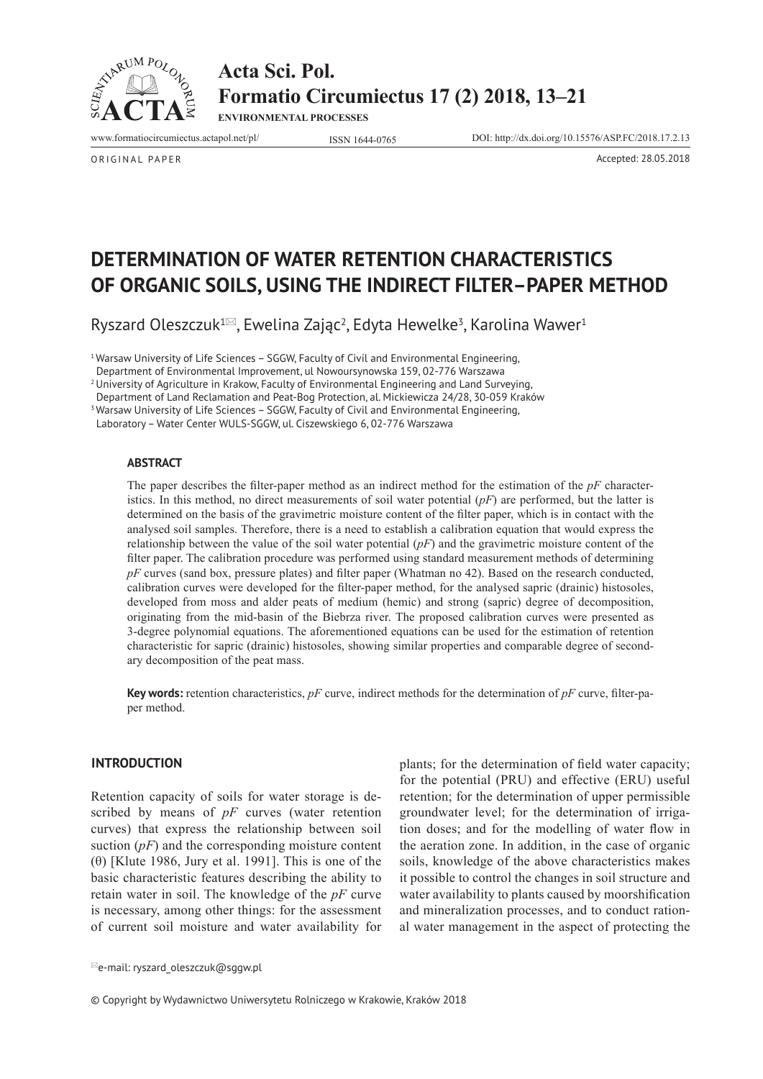



**ENVIRONMENTAL PROCESSES**

www.formatiocircumiectus.actapol.net/pl/ ISSN 1644-0765 DOI: http://dx.doi.org/10.15576/ASP.FC/2018.17.2.13

ORIGINAL PAPER Accepted: 28.05.2018

# **DETERMINATION OF WATER RETENTION CHARACTERISTICS OF ORGANIC SOILS, USING THE INDIRECT FILTER–PAPER METHOD**

Ryszard Oleszczuk<sup>1⊠</sup>, Ewelina Zając<sup>2</sup>, Edyta Hewelke<sup>3</sup>, Karolina Wawer<sup>1</sup>

<sup>1</sup> Warsaw University of Life Sciences - SGGW, Faculty of Civil and Environmental Engineering,

Department of Environmental Improvement, ul Nowoursynowska 159, 02-776 Warszawa

<sup>2</sup> University of Agriculture in Krakow, Faculty of Environmental Engineering and Land Surveying,

Department of Land Reclamation and Peat-Bog Protection, al. Mickiewicza 24/28, 30-059 Kraków <sup>3</sup> Warsaw University of Life Sciences - SGGW, Faculty of Civil and Environmental Engineering,

Laboratory – Water Center WULS-SGGW, ul. Ciszewskiego 6, 02-776 Warszawa

#### **ABSTRACT**

The paper describes the filter-paper method as an indirect method for the estimation of the *pF* characteristics. In this method, no direct measurements of soil water potential (*pF*) are performed, but the latter is determined on the basis of the gravimetric moisture content of the filter paper, which is in contact with the analysed soil samples. Therefore, there is a need to establish a calibration equation that would express the relationship between the value of the soil water potential (*pF*) and the gravimetric moisture content of the filter paper. The calibration procedure was performed using standard measurement methods of determining *pF* curves (sand box, pressure plates) and filter paper (Whatman no 42). Based on the research conducted, calibration curves were developed for the filter-paper method, for the analysed sapric (drainic) histosoles, developed from moss and alder peats of medium (hemic) and strong (sapric) degree of decomposition, originating from the mid-basin of the Biebrza river. The proposed calibration curves were presented as 3-degree polynomial equations. The aforementioned equations can be used for the estimation of retention characteristic for sapric (drainic) histosoles, showing similar properties and comparable degree of secondary decomposition of the peat mass.

**Key words:** retention characteristics, *pF* curve, indirect methods for the determination of *pF* curve, filter-paper method.

### **INTRODUCTION**

Retention capacity of soils for water storage is described by means of *pF* curves (water retention curves) that express the relationship between soil suction (*pF*) and the corresponding moisture content (θ) [Klute 1986, Jury et al. 1991]. This is one of the basic characteristic features describing the ability to retain water in soil. The knowledge of the *pF* curve is necessary, among other things: for the assessment of current soil moisture and water availability for

e-mail: ryszard\_oleszczuk@sggw.pl

plants; for the determination of field water capacity; for the potential (PRU) and effective (ERU) useful retention; for the determination of upper permissible groundwater level; for the determination of irrigation doses; and for the modelling of water flow in the aeration zone. In addition, in the case of organic soils, knowledge of the above characteristics makes it possible to control the changes in soil structure and water availability to plants caused by moorshification and mineralization processes, and to conduct rational water management in the aspect of protecting the

© Copyright by Wydawnictwo Uniwersytetu Rolniczego w Krakowie, Kraków 2018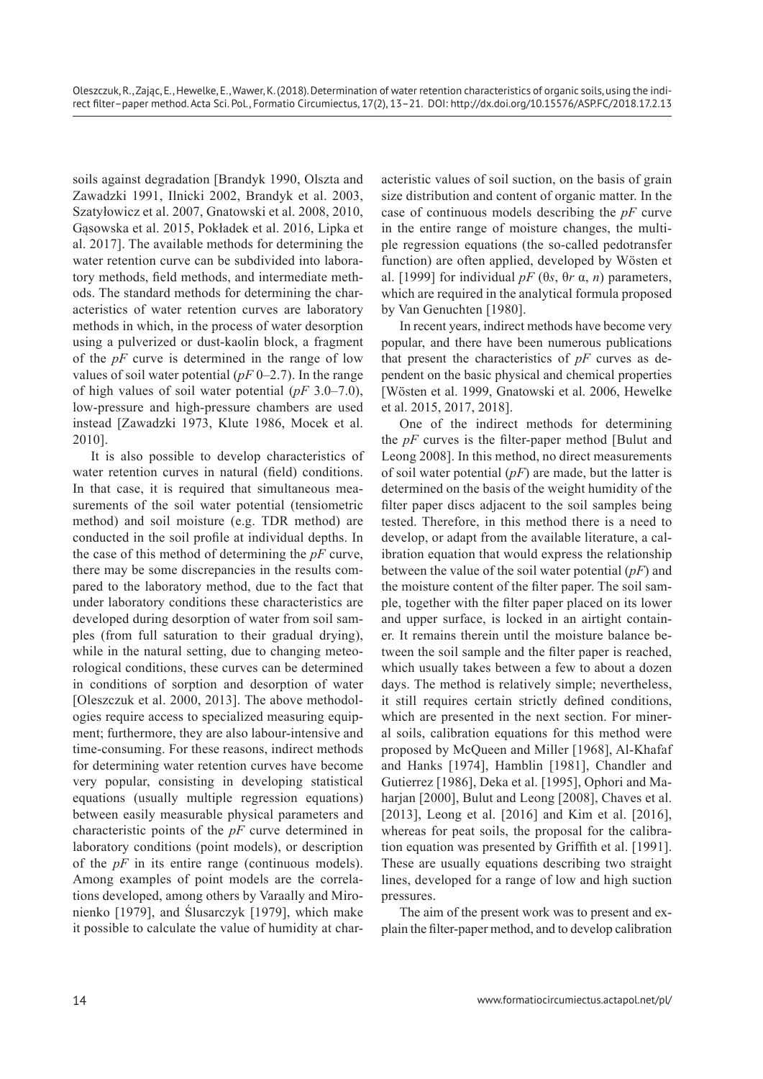soils against degradation [Brandyk 1990, Olszta and Zawadzki 1991, Ilnicki 2002, Brandyk et al. 2003, Szatyłowicz et al. 2007, Gnatowski et al. 2008, 2010, Gąsowska et al. 2015, Pokładek et al. 2016, Lipka et al. 2017]. The available methods for determining the water retention curve can be subdivided into laboratory methods, field methods, and intermediate methods. The standard methods for determining the characteristics of water retention curves are laboratory methods in which, in the process of water desorption using a pulverized or dust-kaolin block, a fragment of the *pF* curve is determined in the range of low values of soil water potential (*pF* 0–2.7). In the range of high values of soil water potential (*pF* 3.0–7.0), low-pressure and high-pressure chambers are used instead [Zawadzki 1973, Klute 1986, Mocek et al. 2010].

It is also possible to develop characteristics of water retention curves in natural (field) conditions. In that case, it is required that simultaneous measurements of the soil water potential (tensiometric method) and soil moisture (e.g. TDR method) are conducted in the soil profile at individual depths. In the case of this method of determining the *pF* curve, there may be some discrepancies in the results compared to the laboratory method, due to the fact that under laboratory conditions these characteristics are developed during desorption of water from soil samples (from full saturation to their gradual drying), while in the natural setting, due to changing meteorological conditions, these curves can be determined in conditions of sorption and desorption of water [Oleszczuk et al. 2000, 2013]. The above methodologies require access to specialized measuring equipment; furthermore, they are also labour-intensive and time-consuming. For these reasons, indirect methods for determining water retention curves have become very popular, consisting in developing statistical equations (usually multiple regression equations) between easily measurable physical parameters and characteristic points of the *pF* curve determined in laboratory conditions (point models), or description of the *pF* in its entire range (continuous models). Among examples of point models are the correlations developed, among others by Varaally and Mironienko [1979], and Ślusarczyk [1979], which make it possible to calculate the value of humidity at characteristic values of soil suction, on the basis of grain size distribution and content of organic matter. In the case of continuous models describing the *pF* curve in the entire range of moisture changes, the multiple regression equations (the so-called pedotransfer function) are often applied, developed by Wösten et al. [1999] for individual *pF* (θ*s*, θ*r* α, *n*) parameters, which are required in the analytical formula proposed by Van Genuchten [1980].

In recent years, indirect methods have become very popular, and there have been numerous publications that present the characteristics of *pF* curves as dependent on the basic physical and chemical properties [Wösten et al. 1999, Gnatowski et al. 2006, Hewelke et al. 2015, 2017, 2018].

One of the indirect methods for determining the *pF* curves is the filter-paper method [Bulut and Leong 2008]. In this method, no direct measurements of soil water potential (*pF*) are made, but the latter is determined on the basis of the weight humidity of the filter paper discs adjacent to the soil samples being tested. Therefore, in this method there is a need to develop, or adapt from the available literature, a calibration equation that would express the relationship between the value of the soil water potential (*pF*) and the moisture content of the filter paper. The soil sample, together with the filter paper placed on its lower and upper surface, is locked in an airtight container. It remains therein until the moisture balance between the soil sample and the filter paper is reached, which usually takes between a few to about a dozen days. The method is relatively simple; nevertheless, it still requires certain strictly defined conditions, which are presented in the next section. For mineral soils, calibration equations for this method were proposed by McQueen and Miller [1968], Al-Khafaf and Hanks [1974], Hamblin [1981], Chandler and Gutierrez [1986], Deka et al. [1995], Ophori and Maharjan [2000], Bulut and Leong [2008], Chaves et al. [2013], Leong et al. [2016] and Kim et al. [2016], whereas for peat soils, the proposal for the calibration equation was presented by Griffith et al. [1991]. These are usually equations describing two straight lines, developed for a range of low and high suction pressures.

The aim of the present work was to present and explain the filter-paper method, and to develop calibration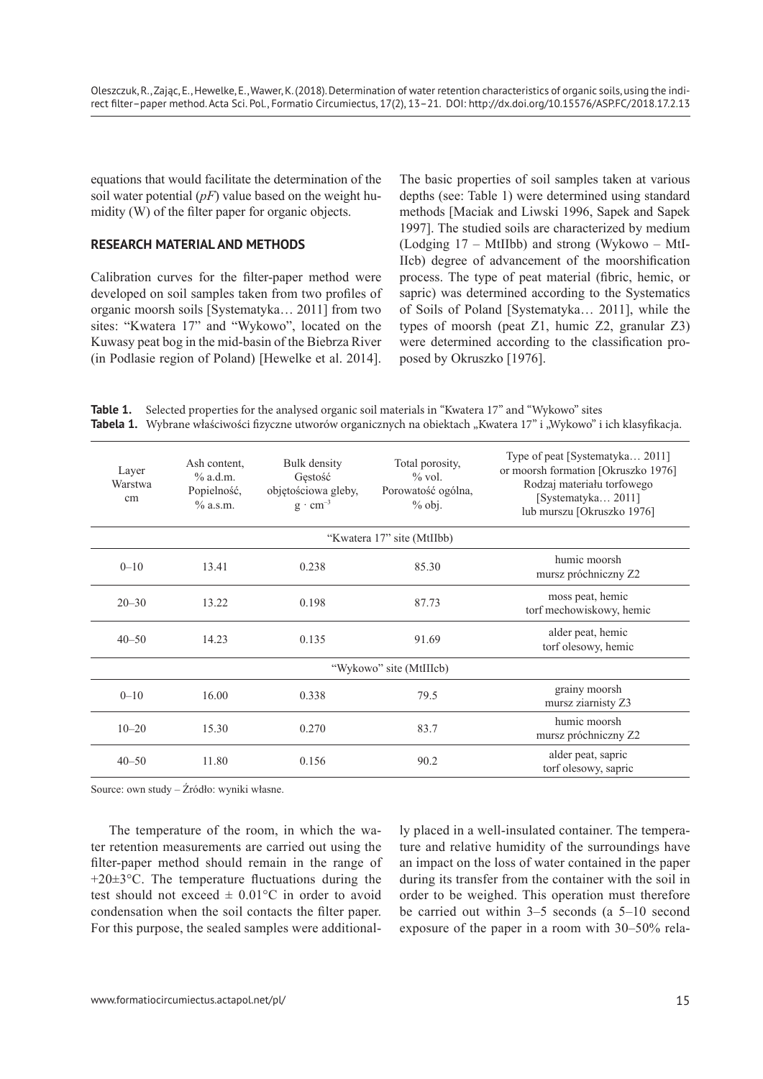equations that would facilitate the determination of the soil water potential (*pF*) value based on the weight humidity (W) of the filter paper for organic objects.

#### **RESEARCH MATERIAL AND METHODS**

Calibration curves for the filter-paper method were developed on soil samples taken from two profiles of organic moorsh soils [Systematyka… 2011] from two sites: "Kwatera 17" and "Wykowo", located on the Kuwasy peat bog in the mid-basin of the Biebrza River (in Podlasie region of Poland) [Hewelke et al. 2014]. The basic properties of soil samples taken at various depths (see: Table 1) were determined using standard methods [Maciak and Liwski 1996, Sapek and Sapek 1997]. The studied soils are characterized by medium (Lodging 17 – MtIIbb) and strong (Wykowo – MtI-IIcb) degree of advancement of the moorshification process. The type of peat material (fibric, hemic, or sapric) was determined according to the Systematics of Soils of Poland [Systematyka… 2011], while the types of moorsh (peat Z1, humic Z2, granular Z3) were determined according to the classification proposed by Okruszko [1976].

**Table 1.** Selected properties for the analysed organic soil materials in "Kwatera 17" and "Wykowo" sites Tabela 1. Wybrane właściwości fizyczne utworów organicznych na obiektach "Kwatera 17" i "Wykowo" i ich klasyfikacja.

| Layer<br>Warstwa<br>cm     | Ash content.<br>$%$ a.d.m.<br>Popielność,<br>$\%$ a.s.m. | Bulk density<br>Gestość<br>objętościowa gleby,<br>$g \cdot cm^{-3}$ | Total porosity,<br>$\%$ vol.<br>Porowatość ogólna,<br>$%$ obj. | Type of peat [Systematyka 2011]<br>or moorsh formation [Okruszko 1976]<br>Rodzaj materiału torfowego<br>[Systematyka 2011]<br>lub murszu [Okruszko 1976] |  |  |  |  |  |  |
|----------------------------|----------------------------------------------------------|---------------------------------------------------------------------|----------------------------------------------------------------|----------------------------------------------------------------------------------------------------------------------------------------------------------|--|--|--|--|--|--|
| "Kwatera 17" site (MtIIbb) |                                                          |                                                                     |                                                                |                                                                                                                                                          |  |  |  |  |  |  |
| $0 - 10$                   | 13.41                                                    | 0.238                                                               | 85.30                                                          | humic moorsh<br>mursz próchniczny Z2                                                                                                                     |  |  |  |  |  |  |
| $20 - 30$                  | 13.22                                                    | 0.198                                                               | 87.73                                                          | moss peat, hemic<br>torf mechowiskowy, hemic                                                                                                             |  |  |  |  |  |  |
| $40 - 50$                  | 14.23                                                    | 0.135                                                               | 91.69                                                          | alder peat, hemic<br>torf olesowy, hemic                                                                                                                 |  |  |  |  |  |  |
| "Wykowo" site (MtIIIcb)    |                                                          |                                                                     |                                                                |                                                                                                                                                          |  |  |  |  |  |  |
| $0 - 10$                   | 16.00                                                    | 0.338                                                               | 79.5                                                           | grainy moorsh<br>mursz ziarnisty Z3                                                                                                                      |  |  |  |  |  |  |
| $10 - 20$                  | 15.30                                                    | 0.270                                                               | 83.7                                                           | humic moorsh<br>mursz próchniczny Z2                                                                                                                     |  |  |  |  |  |  |
| $40 - 50$                  | 11.80                                                    | 0.156                                                               | 90.2                                                           | alder peat, sapric<br>torf olesowy, sapric                                                                                                               |  |  |  |  |  |  |

Source: own study – Źródło: wyniki własne.

The temperature of the room, in which the water retention measurements are carried out using the filter-paper method should remain in the range of  $+20\pm3\degree$ C. The temperature fluctuations during the test should not exceed  $\pm$  0.01 °C in order to avoid condensation when the soil contacts the filter paper. For this purpose, the sealed samples were additionally placed in a well-insulated container. The temperature and relative humidity of the surroundings have an impact on the loss of water contained in the paper during its transfer from the container with the soil in order to be weighed. This operation must therefore be carried out within 3–5 seconds (a 5–10 second exposure of the paper in a room with 30–50% rela-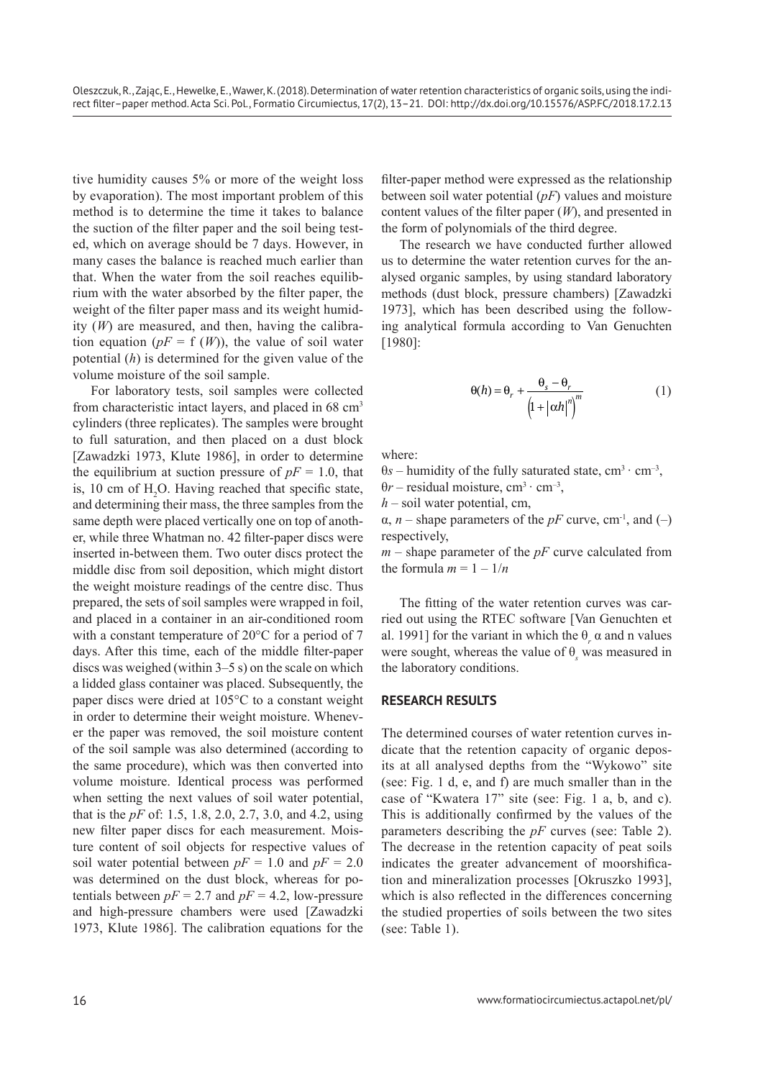tive humidity causes 5% or more of the weight loss by evaporation). The most important problem of this method is to determine the time it takes to balance the suction of the filter paper and the soil being tested, which on average should be 7 days. However, in many cases the balance is reached much earlier than that. When the water from the soil reaches equilibrium with the water absorbed by the filter paper, the weight of the filter paper mass and its weight humidity (*W*) are measured, and then, having the calibration equation  $(pF = f(W))$ , the value of soil water potential (*h*) is determined for the given value of the volume moisture of the soil sample.

For laboratory tests, soil samples were collected from characteristic intact layers, and placed in 68 cm<sup>3</sup> cylinders (three replicates). The samples were brought to full saturation, and then placed on a dust block [Zawadzki 1973, Klute 1986], in order to determine the equilibrium at suction pressure of  $pF = 1.0$ , that is, 10 cm of  $H_2O$ . Having reached that specific state, and determining their mass, the three samples from the same depth were placed vertically one on top of another, while three Whatman no. 42 filter-paper discs were inserted in-between them. Two outer discs protect the middle disc from soil deposition, which might distort the weight moisture readings of the centre disc. Thus prepared, the sets of soil samples were wrapped in foil, and placed in a container in an air-conditioned room with a constant temperature of 20°C for a period of 7 days. After this time, each of the middle filter-paper discs was weighed (within 3–5 s) on the scale on which a lidded glass container was placed. Subsequently, the paper discs were dried at 105°C to a constant weight in order to determine their weight moisture. Whenever the paper was removed, the soil moisture content of the soil sample was also determined (according to the same procedure), which was then converted into volume moisture. Identical process was performed when setting the next values of soil water potential, that is the *pF* of: 1.5, 1.8, 2.0, 2.7, 3.0, and 4.2, using new filter paper discs for each measurement. Moisture content of soil objects for respective values of soil water potential between  $pF = 1.0$  and  $pF = 2.0$ was determined on the dust block, whereas for potentials between  $pF = 2.7$  and  $pF = 4.2$ , low-pressure and high-pressure chambers were used [Zawadzki 1973, Klute 1986]. The calibration equations for the

filter-paper method were expressed as the relationship between soil water potential (*pF*) values and moisture content values of the filter paper (*W*), and presented in the form of polynomials of the third degree.

The research we have conducted further allowed us to determine the water retention curves for the analysed organic samples, by using standard laboratory methods (dust block, pressure chambers) [Zawadzki 1973], which has been described using the following analytical formula according to Van Genuchten [1980]:

$$
\Theta(h) = \Theta_r + \frac{\Theta_s - \Theta_r}{\left(1 + |\alpha h|^\eta\right)^m} \tag{1}
$$

where:

 $\theta$ *s* – humidity of the fully saturated state, cm<sup>3</sup> · cm<sup>-3</sup>,  $\theta r$  – residual moisture, cm<sup>3</sup> · cm<sup>-3</sup>,

*h* – soil water potential, cm,

 $\alpha$ , *n* – shape parameters of the *pF* curve, cm<sup>-1</sup>, and (–) respectively,

*m* – shape parameter of the *pF* curve calculated from the formula  $m = 1 - 1/n$ 

The fitting of the water retention curves was carried out using the RTEC software [Van Genuchten et al. 1991] for the variant in which the  $\theta_r$   $\alpha$  and n values were sought, whereas the value of  $\theta_s$  was measured in the laboratory conditions.

#### **RESEARCH RESULTS**

The determined courses of water retention curves indicate that the retention capacity of organic deposits at all analysed depths from the "Wykowo" site (see: Fig. 1 d, e, and f) are much smaller than in the case of "Kwatera 17" site (see: Fig. 1 a, b, and c). This is additionally confirmed by the values of the parameters describing the *pF* curves (see: Table 2). The decrease in the retention capacity of peat soils indicates the greater advancement of moorshification and mineralization processes [Okruszko 1993], which is also reflected in the differences concerning the studied properties of soils between the two sites (see: Table 1).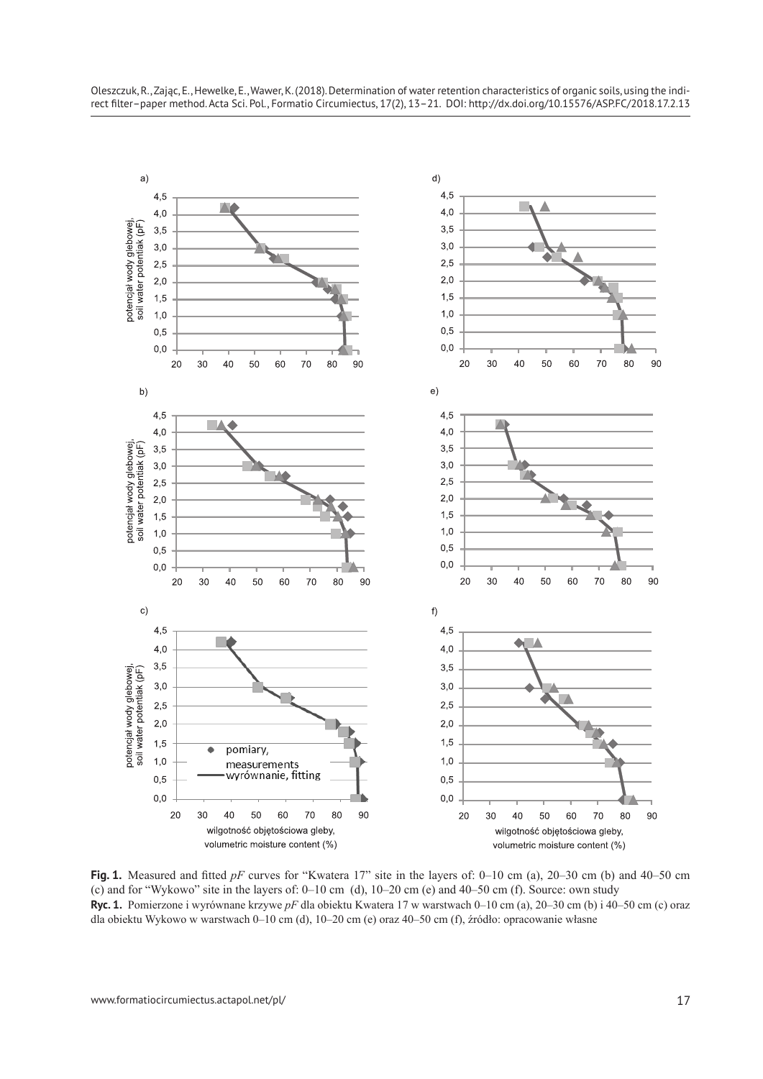

**Fig. 1.** Measured and fitted *pF* curves for "Kwatera 17" site in the layers of: 0–10 cm (a), 20–30 cm (b) and 40–50 cm (c) and for "Wykowo" site in the layers of: 0–10 cm (d), 10–20 cm (e) and 40–50 cm (f). Source: own study **Ryc. 1.** Pomierzone i wyrównane krzywe *pF* dla obiektu Kwatera 17 w warstwach 0–10 cm (a), 20–30 cm (b) i 40–50 cm (c) oraz dla obiektu Wykowo w warstwach 0–10 cm (d), 10–20 cm (e) oraz 40–50 cm (f), źródło: opracowanie własne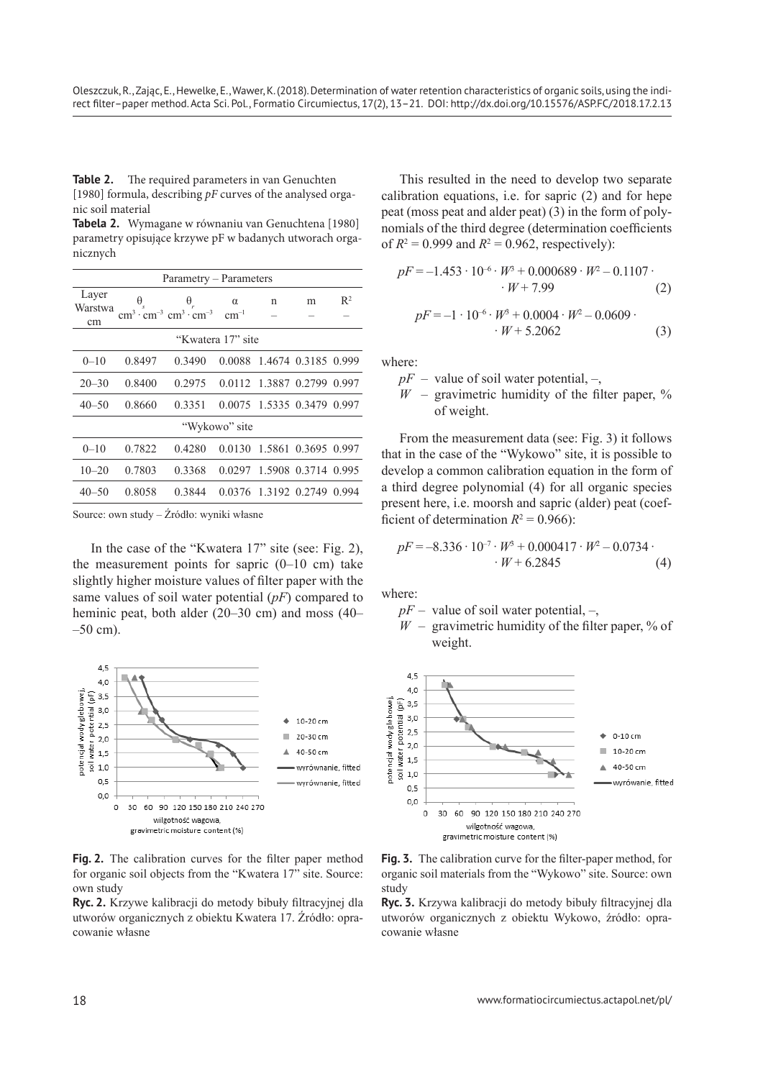**Table 2.** The required parameters in van Genuchten [1980] formula, describing *pF* curves of the analysed organic soil material

**Tabela 2.** Wymagane w równaniu van Genuchtena [1980] parametry opisujące krzywe pF w badanych utworach organicznych

| Parametry – Parameters |            |                                                                                                                 |          |                            |   |                |  |  |  |  |
|------------------------|------------|-----------------------------------------------------------------------------------------------------------------|----------|----------------------------|---|----------------|--|--|--|--|
| Layer<br>Warstwa<br>cm | $\Theta_s$ | $\theta_r$<br>$\text{cm}^3 \cdot \text{cm}^{-3} \cdot \text{cm}^{-3} \cdot \text{cm}^{-3} \cdot \text{cm}^{-1}$ | $\alpha$ | n                          | m | $\mathbb{R}^2$ |  |  |  |  |
| "Kwatera 17" site      |            |                                                                                                                 |          |                            |   |                |  |  |  |  |
| $0 - 10$               | 0.8497     | 0.3490                                                                                                          |          | 0.0088 1.4674 0.3185 0.999 |   |                |  |  |  |  |
| $20 - 30$              | 0.8400     | 0.2975                                                                                                          |          | 0.0112 1.3887 0.2799 0.997 |   |                |  |  |  |  |
| $40 - 50$              | 0.8660     | 0.3351                                                                                                          |          | 0.0075 1.5335 0.3479 0.997 |   |                |  |  |  |  |
| "Wykowo" site          |            |                                                                                                                 |          |                            |   |                |  |  |  |  |
| $0 - 10$               | 0.7822     | 0.4280                                                                                                          |          | 0.0130 1.5861 0.3695 0.997 |   |                |  |  |  |  |
| $10 - 20$              | 0.7803     | 0.3368                                                                                                          |          | 0.0297 1.5908 0.3714 0.995 |   |                |  |  |  |  |
| $40 - 50$              | 0.8058     | 0.3844                                                                                                          |          | 0.0376 1.3192 0.2749 0.994 |   |                |  |  |  |  |

Source: own study – Źródło: wyniki własne

In the case of the "Kwatera 17" site (see: Fig. 2), the measurement points for sapric  $(0-10 \text{ cm})$  take slightly higher moisture values of filter paper with the same values of soil water potential (*pF*) compared to heminic peat, both alder (20–30 cm) and moss (40–  $-50$  cm).



**Fig. 2.** The calibration curves for the filter paper method for organic soil objects from the "Kwatera 17" site. Source: own study

**Ryc. 2.** Krzywe kalibracji do metody bibuły filtracyjnej dla utworów organicznych z obiektu Kwatera 17. Źródło: opracowanie własne

This resulted in the need to develop two separate calibration equations, i.e. for sapric (2) and for hepe peat (moss peat and alder peat) (3) in the form of polynomials of the third degree (determination coefficients of  $R^2 = 0.999$  and  $R^2 = 0.962$ , respectively):

$$
pF = -1.453 \cdot 10^{-6} \cdot W^3 + 0.000689 \cdot W^2 - 0.1107 \cdot W + 7.99 \tag{2}
$$

$$
pF = -1 \cdot 10^{-6} \cdot W^3 + 0.0004 \cdot W^2 - 0.0609 \cdot W + 5.2062 \tag{3}
$$

where:

- $pF$  value of soil water potential,  $-$ ,
- $W$  gravimetric humidity of the filter paper,  $\%$ of weight.

From the measurement data (see: Fig. 3) it follows that in the case of the "Wykowo" site, it is possible to develop a common calibration equation in the form of a third degree polynomial (4) for all organic species present here, i.e. moorsh and sapric (alder) peat (coefficient of determination  $R^2 = 0.966$ ):

$$
pF = -8.336 \cdot 10^{-7} \cdot W^3 + 0.000417 \cdot W^2 - 0.0734 \cdot W + 6.2845 \tag{4}
$$

where:

 $pF$  – value of soil water potential, –,

 $W$  – gravimetric humidity of the filter paper,  $\%$  of weight.



**Fig. 3.** The calibration curve for the filter-paper method, for organic soil materials from the "Wykowo" site. Source: own study

**Ryc. 3.** Krzywa kalibracji do metody bibuły filtracyjnej dla utworów organicznych z obiektu Wykowo, źródło: opracowanie własne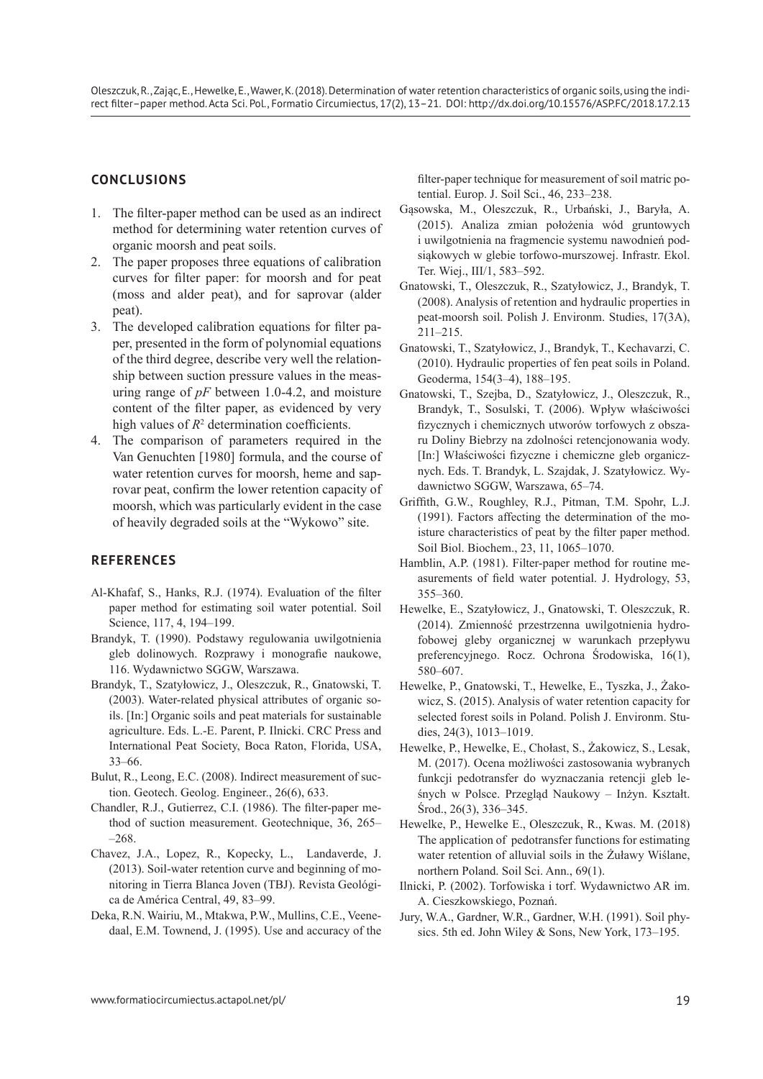## **CONCLUSIONS**

- 1. The filter-paper method can be used as an indirect method for determining water retention curves of organic moorsh and peat soils.
- 2. The paper proposes three equations of calibration curves for filter paper: for moorsh and for peat (moss and alder peat), and for saprovar (alder peat).
- 3. The developed calibration equations for filter paper, presented in the form of polynomial equations of the third degree, describe very well the relationship between suction pressure values in the measuring range of *pF* between 1.0-4.2, and moisture content of the filter paper, as evidenced by very high values of  $R<sup>2</sup>$  determination coefficients.
- 4. The comparison of parameters required in the Van Genuchten [1980] formula, and the course of water retention curves for moorsh, heme and saprovar peat, confirm the lower retention capacity of moorsh, which was particularly evident in the case of heavily degraded soils at the "Wykowo" site.

## **REFERENCES**

- Al-Khafaf, S., Hanks, R.J. (1974). Evaluation of the filter paper method for estimating soil water potential. Soil Science, 117, 4, 194–199.
- Brandyk, T. (1990). Podstawy regulowania uwilgotnienia gleb dolinowych. Rozprawy i monografie naukowe, 116. Wydawnictwo SGGW, Warszawa.
- Brandyk, T., Szatyłowicz, J., Oleszczuk, R., Gnatowski, T. (2003). Water-related physical attributes of organic soils. [In:] Organic soils and peat materials for sustainable agriculture. Eds. L.-E. Parent, P. Ilnicki. CRC Press and International Peat Society, Boca Raton, Florida, USA, 33–66.
- Bulut, R., Leong, E.C. (2008). Indirect measurement of suction. Geotech. Geolog. Engineer., 26(6), 633.
- Chandler, R.J., Gutierrez, C.I. (1986). The filter-paper method of suction measurement. Geotechnique, 36, 265– –268.
- Chavez, J.A., Lopez, R., Kopecky, L., Landaverde, J. (2013). Soil-water retention curve and beginning of monitoring in Tierra Blanca Joven (TBJ). Revista Geológica de América Central, 49, 83–99.
- Deka, R.N. Wairiu, M., Mtakwa, P.W., Mullins, C.E., Veenedaal, E.M. Townend, J. (1995). Use and accuracy of the

filter-paper technique for measurement of soil matric potential. Europ. J. Soil Sci., 46, 233–238.

- Gąsowska, M., Oleszczuk, R., Urbański, J., Baryła, A. (2015). Analiza zmian położenia wód gruntowych i uwilgotnienia na fragmencie systemu nawodnień podsiąkowych w glebie torfowo-murszowej. Infrastr. Ekol. Ter. Wiej., III/1, 583–592.
- Gnatowski, T., Oleszczuk, R., Szatyłowicz, J., Brandyk, T. (2008). Analysis of retention and hydraulic properties in peat-moorsh soil. Polish J. Environm. Studies, 17(3A), 211–215.
- Gnatowski, T., Szatyłowicz, J., Brandyk, T., Kechavarzi, C. (2010). Hydraulic properties of fen peat soils in Poland. Geoderma, 154(3–4), 188–195.
- Gnatowski, T., Szejba, D., Szatyłowicz, J., Oleszczuk, R., Brandyk, T., Sosulski, T. (2006). Wpływ właściwości fizycznych i chemicznych utworów torfowych z obszaru Doliny Biebrzy na zdolności retencjonowania wody. [In:] Właściwości fizyczne i chemiczne gleb organicznych. Eds. T. Brandyk, L. Szajdak, J. Szatyłowicz. Wydawnictwo SGGW, Warszawa, 65–74.
- Griffith, G.W., Roughley, R.J., Pitman, T.M. Spohr, L.J. (1991). Factors affecting the determination of the moisture characteristics of peat by the filter paper method. Soil Biol. Biochem., 23, 11, 1065–1070.
- Hamblin, A.P. (1981). Filter-paper method for routine measurements of field water potential. J. Hydrology, 53, 355–360.
- Hewelke, E., Szatyłowicz, J., Gnatowski, T. Oleszczuk, R. (2014). Zmienność przestrzenna uwilgotnienia hydrofobowej gleby organicznej w warunkach przepływu preferencyjnego. Rocz. Ochrona Środowiska, 16(1), 580–607.
- Hewelke, P., Gnatowski, T., Hewelke, E., Tyszka, J., Żakowicz, S. (2015). Analysis of water retention capacity for selected forest soils in Poland. Polish J. Environm. Studies, 24(3), 1013–1019.
- Hewelke, P., Hewelke, E., Chołast, S., Żakowicz, S., Lesak, M. (2017). Ocena możliwości zastosowania wybranych funkcji pedotransfer do wyznaczania retencji gleb leśnych w Polsce. Przegląd Naukowy – Inżyn. Kształt. Środ., 26(3), 336–345.
- Hewelke, P., Hewelke E., Oleszczuk, R., Kwas. M. (2018) The application of pedotransfer functions for estimating water retention of alluvial soils in the Żuławy Wiślane, northern Poland. Soil Sci. Ann., 69(1).
- Ilnicki, P. (2002). Torfowiska i torf. Wydawnictwo AR im. A. Cieszkowskiego, Poznań.
- Jury, W.A., Gardner, W.R., Gardner, W.H. (1991). Soil physics. 5th ed. John Wiley & Sons, New York, 173–195.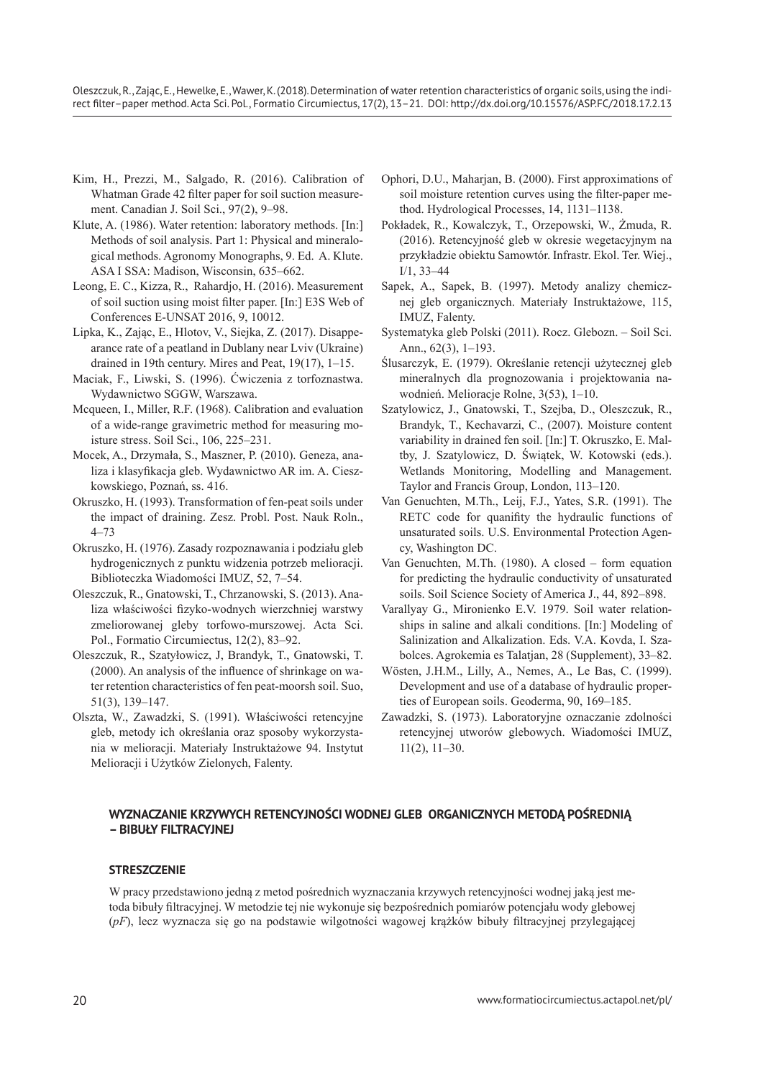Oleszczuk, R., Zając, E., Hewelke, E., Wawer, K. (2018). Determination of water retention characteristics of organic soils, using the indirect filter–paper method. Acta Sci. Pol., Formatio Circumiectus, 17(2), 13–21. DOI: http://dx.doi.org/10.15576/ASP.FC/2018.17.2.13

- Kim, H., Prezzi, M., Salgado, R. (2016). Calibration of Whatman Grade 42 filter paper for soil suction measurement. Canadian J. Soil Sci., 97(2), 9–98.
- Klute, A. (1986). Water retention: laboratory methods. [In:] Methods of soil analysis. Part 1: Physical and mineralogical methods. Agronomy Monographs, 9. Ed. A. Klute. ASA I SSA: Madison, Wisconsin, 635–662.
- Leong, E. C., Kizza, R., Rahardjo, H. (2016). Measurement of soil suction using moist filter paper. [In:] E3S Web of Conferences E-UNSAT 2016, 9, 10012.
- Lipka, K., Zając, E., Hlotov, V., Siejka, Z. (2017). Disappearance rate of a peatland in Dublany near Lviv (Ukraine) drained in 19th century. Mires and Peat, 19(17), 1–15.
- Maciak, F., Liwski, S. (1996). Ćwiczenia z torfoznastwa. Wydawnictwo SGGW, Warszawa.
- Mcqueen, I., Miller, R.F. (1968). Calibration and evaluation of a wide-range gravimetric method for measuring moisture stress. Soil Sci., 106, 225–231.
- Mocek, A., Drzymała, S., Maszner, P. (2010). Geneza, analiza i klasyfikacja gleb. Wydawnictwo AR im. A. Cieszkowskiego, Poznań, ss. 416.
- Okruszko, H. (1993). Transformation of fen-peat soils under the impact of draining. Zesz. Probl. Post. Nauk Roln., 4–73
- Okruszko, H. (1976). Zasady rozpoznawania i podziału gleb hydrogenicznych z punktu widzenia potrzeb melioracji. Biblioteczka Wiadomości IMUZ, 52, 7–54.
- Oleszczuk, R., Gnatowski, T., Chrzanowski, S. (2013). Analiza właściwości fizyko-wodnych wierzchniej warstwy zmeliorowanej gleby torfowo-murszowej. Acta Sci. Pol., Formatio Circumiectus, 12(2), 83–92.
- Oleszczuk, R., Szatyłowicz, J, Brandyk, T., Gnatowski, T. (2000). An analysis of the influence of shrinkage on water retention characteristics of fen peat-moorsh soil. Suo, 51(3), 139–147.
- Olszta, W., Zawadzki, S. (1991). Właściwości retencyjne gleb, metody ich określania oraz sposoby wykorzystania w melioracji. Materiały Instruktażowe 94. Instytut Melioracji i Użytków Zielonych, Falenty.
- Ophori, D.U., Maharjan, B. (2000). First approximations of soil moisture retention curves using the filter-paper method. Hydrological Processes, 14, 1131–1138.
- Pokładek, R., Kowalczyk, T., Orzepowski, W., Żmuda, R. (2016). Retencyjność gleb w okresie wegetacyjnym na przykładzie obiektu Samowtór. Infrastr. Ekol. Ter. Wiej., I/1, 33–44
- Sapek, A., Sapek, B. (1997). Metody analizy chemicznej gleb organicznych. Materiały Instruktażowe, 115, IMUZ, Falenty.
- Systematyka gleb Polski (2011). Rocz. Glebozn. Soil Sci. Ann., 62(3), 1–193.
- Ślusarczyk, E. (1979). Określanie retencji użytecznej gleb mineralnych dla prognozowania i projektowania nawodnień. Melioracje Rolne, 3(53), 1–10.
- Szatylowicz, J., Gnatowski, T., Szejba, D., Oleszczuk, R., Brandyk, T., Kechavarzi, C., (2007). Moisture content variability in drained fen soil. [In:] T. Okruszko, E. Maltby, J. Szatylowicz, D. Świątek, W. Kotowski (eds.). Wetlands Monitoring, Modelling and Management. Taylor and Francis Group, London, 113–120.
- Van Genuchten, M.Th., Leij, F.J., Yates, S.R. (1991). The RETC code for quanifity the hydraulic functions of unsaturated soils. U.S. Environmental Protection Agency, Washington DC.
- Van Genuchten, M.Th. (1980). A closed form equation for predicting the hydraulic conductivity of unsaturated soils. Soil Science Society of America J., 44, 892–898.
- Varallyay G., Mironienko E.V. 1979. Soil water relationships in saline and alkali conditions. [In:] Modeling of Salinization and Alkalization. Eds. V.A. Kovda, I. Szabolces. Agrokemia es Talatjan, 28 (Supplement), 33–82.
- Wösten, J.H.M., Lilly, A., Nemes, A., Le Bas, C. (1999). Development and use of a database of hydraulic properties of European soils. Geoderma, 90, 169–185.
- Zawadzki, S. (1973). Laboratoryjne oznaczanie zdolności retencyjnej utworów glebowych. Wiadomości IMUZ, 11(2), 11–30.

### **WYZNACZANIE KRZYWYCH RETENCYJNOŚCI WODNEJ GLEB ORGANICZNYCH METODĄ POŚREDNIĄ – BIBUŁY FILTRACYJNEJ**

#### **STRESZCZENIE**

W pracy przedstawiono jedną z metod pośrednich wyznaczania krzywych retencyjności wodnej jaką jest metoda bibuły filtracyjnej. W metodzie tej nie wykonuje się bezpośrednich pomiarów potencjału wody glebowej (*pF*), lecz wyznacza się go na podstawie wilgotności wagowej krążków bibuły filtracyjnej przylegającej